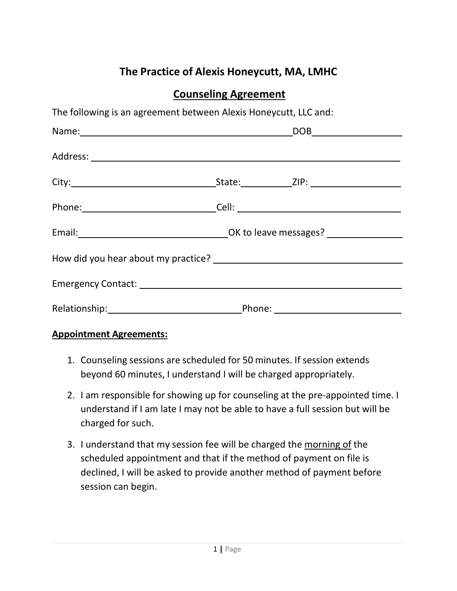# **The Practice of Alexis Honeycutt, MA, LMHC**

## **Counseling Agreement**

| The following is an agreement between Alexis Honeycutt, LLC and: |  |
|------------------------------------------------------------------|--|
|                                                                  |  |
|                                                                  |  |
|                                                                  |  |
|                                                                  |  |
|                                                                  |  |
|                                                                  |  |
|                                                                  |  |
|                                                                  |  |

#### **Appointment Agreements:**

- 1. Counseling sessions are scheduled for 50 minutes. If session extends beyond 60 minutes, I understand I will be charged appropriately.
- 2. I am responsible for showing up for counseling at the pre-appointed time. I understand if I am late I may not be able to have a full session but will be charged for such.
- 3. I understand that my session fee will be charged the morning of the scheduled appointment and that if the method of payment on file is declined, I will be asked to provide another method of payment before session can begin.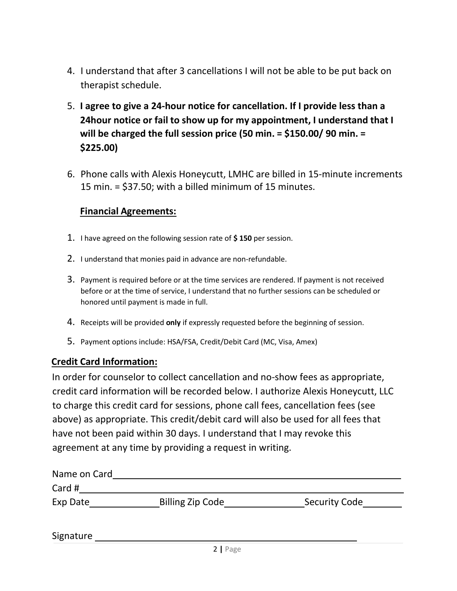- 4. I understand that after 3 cancellations I will not be able to be put back on therapist schedule.
- 5. **I agree to give a 24-hour notice for cancellation. If I provide less than a 24hour notice or fail to show up for my appointment, I understand that I will be charged the full session price (50 min. = \$150.00/ 90 min. = \$225.00)**
- 6. Phone calls with Alexis Honeycutt, LMHC are billed in 15-minute increments 15 min. = \$37.50; with a billed minimum of 15 minutes.

#### **Financial Agreements:**

- 1. I have agreed on the following session rate of **\$ 150** per session.
- 2. I understand that monies paid in advance are non-refundable.
- 3. Payment is required before or at the time services are rendered. If payment is not received before or at the time of service, I understand that no further sessions can be scheduled or honored until payment is made in full.
- 4. Receipts will be provided **only** if expressly requested before the beginning of session.
- 5. Payment options include: HSA/FSA, Credit/Debit Card (MC, Visa, Amex)

#### **Credit Card Information:**

In order for counselor to collect cancellation and no-show fees as appropriate, credit card information will be recorded below. I authorize Alexis Honeycutt, LLC to charge this credit card for sessions, phone call fees, cancellation fees (see above) as appropriate. This credit/debit card will also be used for all fees that have not been paid within 30 days. I understand that I may revoke this agreement at any time by providing a request in writing.

| Name on Card |                         |                      |
|--------------|-------------------------|----------------------|
| Card #       |                         |                      |
| Exp Date     | <b>Billing Zip Code</b> | <b>Security Code</b> |
|              |                         |                      |

Signature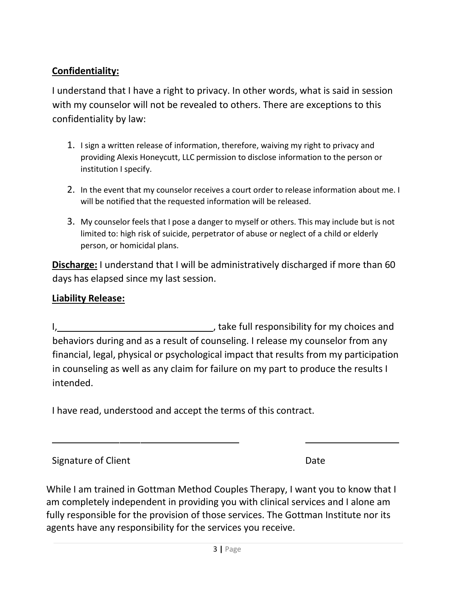#### **Confidentiality:**

I understand that I have a right to privacy. In other words, what is said in session with my counselor will not be revealed to others. There are exceptions to this confidentiality by law:

- 1. I sign a written release of information, therefore, waiving my right to privacy and providing Alexis Honeycutt, LLC permission to disclose information to the person or institution I specify.
- 2. In the event that my counselor receives a court order to release information about me. I will be notified that the requested information will be released.
- 3. My counselor feels that I pose a danger to myself or others. This may include but is not limited to: high risk of suicide, perpetrator of abuse or neglect of a child or elderly person, or homicidal plans.

**Discharge:** I understand that I will be administratively discharged if more than 60 days has elapsed since my last session.

### **Liability Release:**

I, 1, 1, take full responsibility for my choices and behaviors during and as a result of counseling. I release my counselor from any financial, legal, physical or psychological impact that results from my participation in counseling as well as any claim for failure on my part to produce the results I intended.

I have read, understood and accept the terms of this contract.

Signature of Client **Date** 

While I am trained in Gottman Method Couples Therapy, I want you to know that I am completely independent in providing you with clinical services and I alone am fully responsible for the provision of those services. The Gottman Institute nor its agents have any responsibility for the services you receive.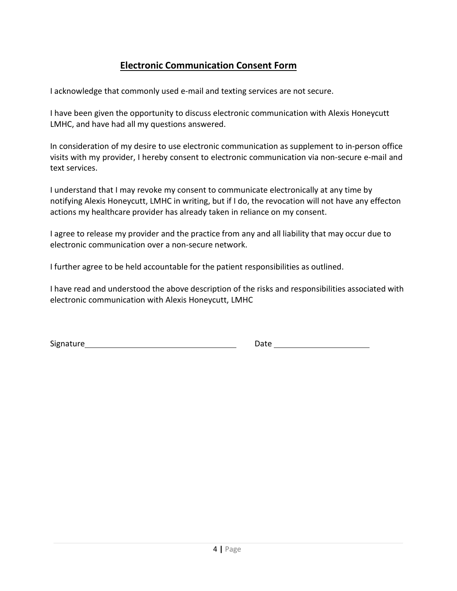### **Electronic Communication Consent Form**

I acknowledge that commonly used e-mail and texting services are not secure.

I have been given the opportunity to discuss electronic communication with Alexis Honeycutt LMHC, and have had all my questions answered.

In consideration of my desire to use electronic communication as supplement to in-person office visits with my provider, I hereby consent to electronic communication via non-secure e-mail and text services.

I understand that I may revoke my consent to communicate electronically at any time by notifying Alexis Honeycutt, LMHC in writing, but if I do, the revocation will not have any effecton actions my healthcare provider has already taken in reliance on my consent.

I agree to release my provider and the practice from any and all liability that may occur due to electronic communication over a non-secure network.

I further agree to be held accountable for the patient responsibilities as outlined.

I have read and understood the above description of the risks and responsibilities associated with electronic communication with Alexis Honeycutt, LMHC

Signature and the Date of Date Date of the Date of the Date of the Date of the Date of the Date of the Date of the Date of the Date of the Date of the Date of the Date of the Date of the Date of the Date of the Date of the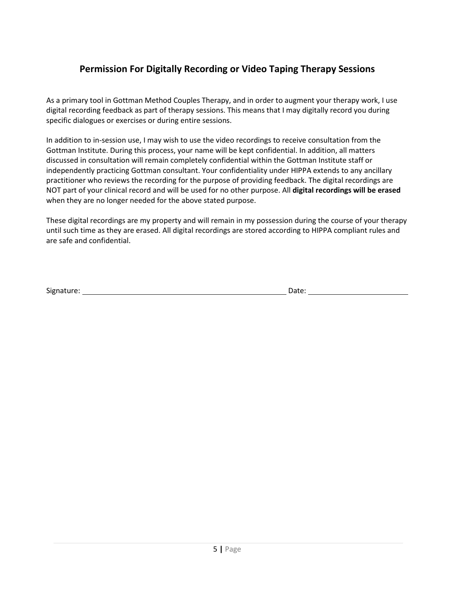### **Permission For Digitally Recording or Video Taping Therapy Sessions**

As a primary tool in Gottman Method Couples Therapy, and in order to augment your therapy work, I use digital recording feedback as part of therapy sessions. This means that I may digitally record you during specific dialogues or exercises or during entire sessions.

In addition to in-session use, I may wish to use the video recordings to receive consultation from the Gottman Institute. During this process, your name will be kept confidential. In addition, all matters discussed in consultation will remain completely confidential within the Gottman Institute staff or independently practicing Gottman consultant. Your confidentiality under HIPPA extends to any ancillary practitioner who reviews the recording for the purpose of providing feedback. The digital recordings are NOT part of your clinical record and will be used for no other purpose. All **digital recordings will be erased**  when they are no longer needed for the above stated purpose.

These digital recordings are my property and will remain in my possession during the course of your therapy until such time as they are erased. All digital recordings are stored according to HIPPA compliant rules and are safe and confidential.

Signature: Date: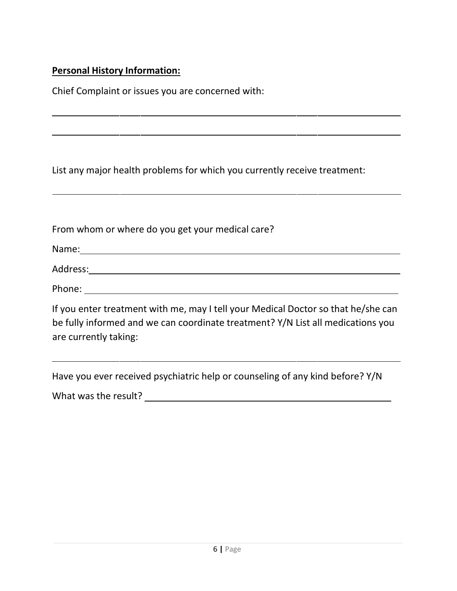### **Personal History Information:**

Chief Complaint or issues you are concerned with:

List any major health problems for which you currently receive treatment:

From whom or where do you get your medical care?

Name:

Address:

Phone:

If you enter treatment with me, may I tell your Medical Doctor so that he/she can be fully informed and we can coordinate treatment? Y/N List all medications you are currently taking:

Have you ever received psychiatric help or counseling of any kind before? Y/N

What was the result? Note that was the result?